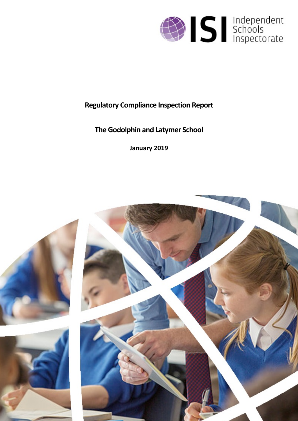

# **Regulatory Compliance Inspection Report**

# **The Godolphin and Latymer School**

**January 2019**

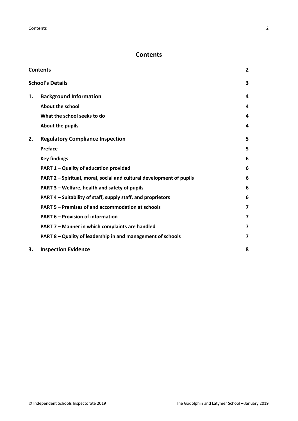## <span id="page-1-0"></span>**Contents**

| <b>Contents</b>                                                      | $\overline{2}$          |
|----------------------------------------------------------------------|-------------------------|
| <b>School's Details</b>                                              | 3                       |
| <b>Background Information</b>                                        | 4                       |
| About the school                                                     | 4                       |
| What the school seeks to do                                          | 4                       |
| About the pupils                                                     | 4                       |
| <b>Regulatory Compliance Inspection</b>                              | 5                       |
| <b>Preface</b>                                                       | 5                       |
| <b>Key findings</b>                                                  | 6                       |
| PART 1 - Quality of education provided                               | 6                       |
| PART 2 - Spiritual, moral, social and cultural development of pupils | 6                       |
| PART 3 – Welfare, health and safety of pupils                        | 6                       |
| PART 4 – Suitability of staff, supply staff, and proprietors         | 6                       |
| PART 5 - Premises of and accommodation at schools                    | $\overline{\mathbf{z}}$ |
| <b>PART 6 - Provision of information</b>                             | $\overline{\mathbf{z}}$ |
| PART 7 - Manner in which complaints are handled                      | $\overline{\mathbf{z}}$ |
| PART 8 - Quality of leadership in and management of schools          | 7                       |
| <b>Inspection Evidence</b>                                           | 8                       |
|                                                                      |                         |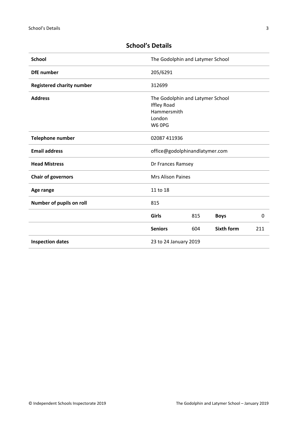| <b>School</b>                    | The Godolphin and Latymer School                                                          |     |                   |     |
|----------------------------------|-------------------------------------------------------------------------------------------|-----|-------------------|-----|
| <b>DfE</b> number                | 205/6291                                                                                  |     |                   |     |
| <b>Registered charity number</b> | 312699                                                                                    |     |                   |     |
| <b>Address</b>                   | The Godolphin and Latymer School<br><b>Iffley Road</b><br>Hammersmith<br>London<br>W6 OPG |     |                   |     |
| <b>Telephone number</b>          | 02087 411936                                                                              |     |                   |     |
| <b>Email address</b>             | office@godolphinandlatymer.com                                                            |     |                   |     |
| <b>Head Mistress</b>             | Dr Frances Ramsey                                                                         |     |                   |     |
| <b>Chair of governors</b>        | <b>Mrs Alison Paines</b>                                                                  |     |                   |     |
| Age range                        | 11 to 18                                                                                  |     |                   |     |
| Number of pupils on roll         | 815                                                                                       |     |                   |     |
|                                  | Girls                                                                                     | 815 | <b>Boys</b>       | 0   |
|                                  | <b>Seniors</b>                                                                            | 604 | <b>Sixth form</b> | 211 |
| <b>Inspection dates</b>          | 23 to 24 January 2019                                                                     |     |                   |     |

## <span id="page-2-0"></span>**School's Details**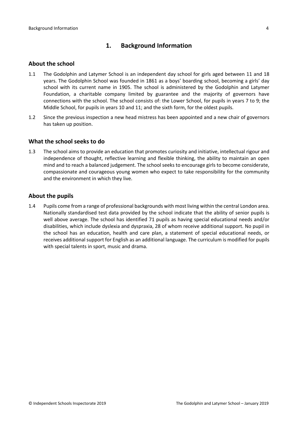## <span id="page-3-0"></span>**1. Background Information**

#### <span id="page-3-1"></span>**About the school**

- 1.1 The Godolphin and Latymer School is an independent day school for girls aged between 11 and 18 years. The Godolphin School was founded in 1861 as a boys' boarding school, becoming a girls' day school with its current name in 1905. The school is administered by the Godolphin and Latymer Foundation, a charitable company limited by guarantee and the majority of governors have connections with the school. The school consists of: the Lower School, for pupils in years 7 to 9; the Middle School, for pupils in years 10 and 11; and the sixth form, for the oldest pupils.
- 1.2 Since the previous inspection a new head mistress has been appointed and a new chair of governors has taken up position.

#### <span id="page-3-2"></span>**What the school seeks to do**

1.3 The school aims to provide an education that promotes curiosity and initiative, intellectual rigour and independence of thought, reflective learning and flexible thinking, the ability to maintain an open mind and to reach a balanced judgement. The school seeks to encourage girls to become considerate, compassionate and courageous young women who expect to take responsibility for the community and the environment in which they live.

#### <span id="page-3-3"></span>**About the pupils**

1.4 Pupils come from a range of professional backgrounds with most living within the central London area. Nationally standardised test data provided by the school indicate that the ability of senior pupils is well above average. The school has identified 71 pupils as having special educational needs and/or disabilities, which include dyslexia and dyspraxia, 28 of whom receive additional support. No pupil in the school has an education, health and care plan, a statement of special educational needs, or receives additional support for English as an additional language. The curriculum is modified for pupils with special talents in sport, music and drama.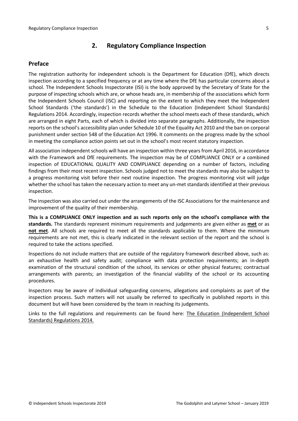## <span id="page-4-0"></span>**2. Regulatory Compliance Inspection**

## <span id="page-4-1"></span>**Preface**

The registration authority for independent schools is the Department for Education (DfE), which directs inspection according to a specified frequency or at any time where the DfE has particular concerns about a school. The Independent Schools Inspectorate (ISI) is the body approved by the Secretary of State for the purpose of inspecting schools which are, or whose heads are, in membership of the associations which form the Independent Schools Council (ISC) and reporting on the extent to which they meet the Independent School Standards ('the standards') in the Schedule to the Education (Independent School Standards) Regulations 2014. Accordingly, inspection records whether the school meets each of these standards, which are arranged in eight Parts, each of which is divided into separate paragraphs. Additionally, the inspection reports on the school's accessibility plan under Schedule 10 of the Equality Act 2010 and the ban on corporal punishment under section 548 of the Education Act 1996. It comments on the progress made by the school in meeting the compliance action points set out in the school's most recent statutory inspection.

All association independent schools will have an inspection within three yearsfrom April 2016, in accordance with the Framework and DfE requirements. The inspection may be of COMPLIANCE ONLY or a combined inspection of EDUCATIONAL QUALITY AND COMPLIANCE depending on a number of factors, including findings from their most recent inspection. Schools judged not to meet the standards may also be subject to a progress monitoring visit before their next routine inspection. The progress monitoring visit will judge whether the school has taken the necessary action to meet any un-met standards identified at their previous inspection.

The inspection was also carried out under the arrangements of the ISC Associations for the maintenance and improvement of the quality of their membership.

**This is a COMPLIANCE ONLY inspection and as such reports only on the school's compliance with the standards.** The standards represent minimum requirements and judgements are given either as **met** or as **not met**. All schools are required to meet all the standards applicable to them. Where the minimum requirements are not met, this is clearly indicated in the relevant section of the report and the school is required to take the actions specified.

Inspections do not include matters that are outside of the regulatory framework described above, such as: an exhaustive health and safety audit; compliance with data protection requirements; an in-depth examination of the structural condition of the school, its services or other physical features; contractual arrangements with parents; an investigation of the financial viability of the school or its accounting procedures.

Inspectors may be aware of individual safeguarding concerns, allegations and complaints as part of the inspection process. Such matters will not usually be referred to specifically in published reports in this document but will have been considered by the team in reaching its judgements.

Links to the full regulations and requirements can be found here: The Education [\(Independent](http://www.legislation.gov.uk/uksi/2014/3283/contents/made) School Standards) [Regulations](http://www.legislation.gov.uk/uksi/2014/3283/contents/made) 2014.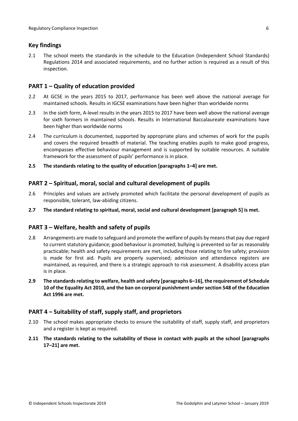## <span id="page-5-0"></span>**Key findings**

2.1 The school meets the standards in the schedule to the Education (Independent School Standards) Regulations 2014 and associated requirements, and no further action is required as a result of this inspection.

## <span id="page-5-1"></span>**PART 1 – Quality of education provided**

- 2.2 At GCSE in the years 2015 to 2017, performance has been well above the national average for maintained schools. Results in IGCSE examinations have been higher than worldwide norms
- 2.3 In the sixth form, A-level results in the years 2015 to 2017 have been well above the national average for sixth formers in maintained schools. Results in International Baccalaureate examinations have been higher than worldwide norms
- 2.4 The curriculum is documented, supported by appropriate plans and schemes of work for the pupils and covers the required breadth of material. The teaching enables pupils to make good progress, encompasses effective behaviour management and is supported by suitable resources. A suitable framework for the assessment of pupils' performance is in place.
- **2.5 The standards relating to the quality of education [paragraphs 1–4] are met.**

## <span id="page-5-2"></span>**PART 2 – Spiritual, moral, social and cultural development of pupils**

- 2.6 Principles and values are actively promoted which facilitate the personal development of pupils as responsible, tolerant, law-abiding citizens.
- **2.7 The standard relating to spiritual, moral, social and cultural development [paragraph 5] is met.**

### <span id="page-5-3"></span>**PART 3 – Welfare, health and safety of pupils**

- 2.8 Arrangements are made to safeguard and promote the welfare of pupils by means that pay due regard to current statutory guidance; good behaviour is promoted; bullying is prevented so far as reasonably practicable; health and safety requirements are met, including those relating to fire safety; provision is made for first aid. Pupils are properly supervised; admission and attendance registers are maintained, as required, and there is a strategic approach to risk assessment. A disability access plan is in place.
- **2.9 The standardsrelating to welfare, health and safety [paragraphs 6–16], the requirement of Schedule 10 of the Equality Act 2010, and the ban on corporal punishment undersection 548 of the Education Act 1996 are met.**

### <span id="page-5-4"></span>**PART 4 – Suitability of staff, supply staff, and proprietors**

- 2.10 The school makes appropriate checks to ensure the suitability of staff, supply staff, and proprietors and a register is kept as required.
- **2.11 The standards relating to the suitability of those in contact with pupils at the school [paragraphs 17–21] are met.**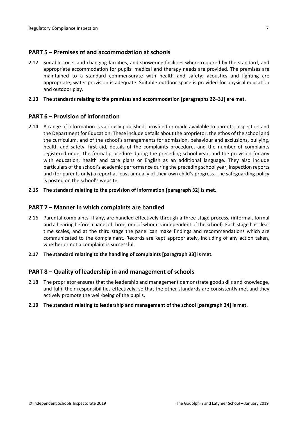### <span id="page-6-0"></span>**PART 5 – Premises of and accommodation at schools**

2.12 Suitable toilet and changing facilities, and showering facilities where required by the standard, and appropriate accommodation for pupils' medical and therapy needs are provided. The premises are maintained to a standard commensurate with health and safety; acoustics and lighting are appropriate; water provision is adequate. Suitable outdoor space is provided for physical education and outdoor play.

#### **2.13 The standards relating to the premises and accommodation [paragraphs 22–31] are met.**

#### <span id="page-6-1"></span>**PART 6 – Provision of information**

2.14 A range of information is variously published, provided or made available to parents, inspectors and the Department for Education. These include details about the proprietor, the ethos of the school and the curriculum, and of the school's arrangements for admission, behaviour and exclusions, bullying, health and safety, first aid, details of the complaints procedure, and the number of complaints registered under the formal procedure during the preceding school year, and the provision for any with education, health and care plans or English as an additional language. They also include particulars of the school's academic performance during the preceding school year, inspection reports and (for parents only) a report at least annually of their own child's progress. The safeguarding policy is posted on the school's website.

#### **2.15 The standard relating to the provision of information [paragraph 32] is met.**

#### <span id="page-6-2"></span>**PART 7 – Manner in which complaints are handled**

- 2.16 Parental complaints, if any, are handled effectively through a three-stage process, (informal, formal and a hearing before a panel of three, one of whom is independent of the school). Each stage has clear time scales, and at the third stage the panel can make findings and recommendations which are communicated to the complainant. Records are kept appropriately, including of any action taken, whether or not a complaint is successful.
- **2.17 The standard relating to the handling of complaints [paragraph 33] is met.**

#### <span id="page-6-3"></span>**PART 8 – Quality of leadership in and management of schools**

- 2.18 The proprietor ensures that the leadership and management demonstrate good skills and knowledge, and fulfil their responsibilities effectively, so that the other standards are consistently met and they actively promote the well-being of the pupils.
- **2.19 The standard relating to leadership and management of the school [paragraph 34] is met.**